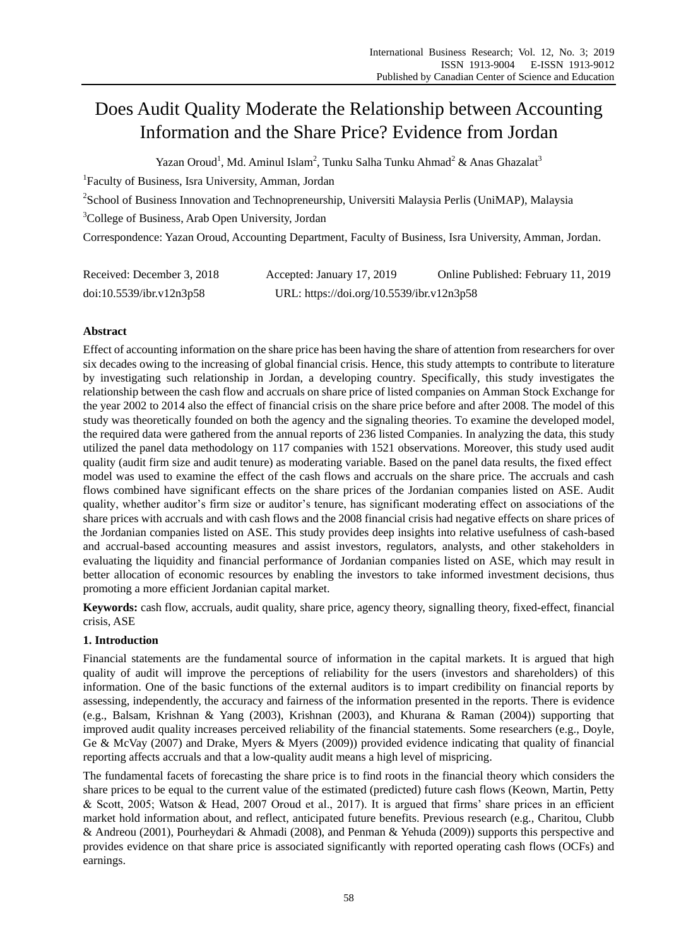# Does Audit Quality Moderate the Relationship between Accounting Information and the Share Price? Evidence from Jordan

Yazan [Oroud](https://www.researchgate.net/profile/Yazan_Oroud?_sg=9kt-N6NBaXG6F20Pge8k5Kd9X32FQbZ92NdVDJ8MGK5znbKIyPtz-dYHiUiUX-M3v2wfqxQ.YDs2aB0bn258sjg8HZ2EA0DyqeRR_g5pu_jZ44E8FiaRpiTQCrEm661_HmgjUqNruTbwYAz2lrR-b9rIq7sDgg)<sup>1</sup>, Md. [Aminul](https://www.researchgate.net/profile/Md_Aminul_Islam3?_sg=9kt-N6NBaXG6F20Pge8k5Kd9X32FQbZ92NdVDJ8MGK5znbKIyPtz-dYHiUiUX-M3v2wfqxQ.YDs2aB0bn258sjg8HZ2EA0DyqeRR_g5pu_jZ44E8FiaRpiTQCrEm661_HmgjUqNruTbwYAz2lrR-b9rIq7sDgg) Islam<sup>2</sup>, Tunku Salha Tunku [Ahmad](https://www.researchgate.net/profile/Tunku_Tunku_Ahmad2?_sg=9kt-N6NBaXG6F20Pge8k5Kd9X32FQbZ92NdVDJ8MGK5znbKIyPtz-dYHiUiUX-M3v2wfqxQ.YDs2aB0bn258sjg8HZ2EA0DyqeRR_g5pu_jZ44E8FiaRpiTQCrEm661_HmgjUqNruTbwYAz2lrR-b9rIq7sDgg)<sup>2</sup> & Anas [Ghazalat](https://www.researchgate.net/profile/Anas_Ghazalat2?_iepl%5BviewId%5D=Ti5WbVi7J6D8r04FGShVa1x3&_iepl%5Bcontexts%5D%5B0%5D=projectUpdatesLog&_iepl%5BinteractionType%5D=projectViewCollaboratorProfile)<sup>3</sup>

<sup>1</sup>Faculty of Business, Isra University, Amman, Jordan

<sup>2</sup>School of Business Innovation and Technopreneurship, Universiti Malaysia Perlis (UniMAP), Malaysia

<sup>3</sup>College of Business, Arab Open University, Jordan

Correspondence: Yazan [Oroud,](https://www.researchgate.net/profile/Yazan_Oroud?_sg=9kt-N6NBaXG6F20Pge8k5Kd9X32FQbZ92NdVDJ8MGK5znbKIyPtz-dYHiUiUX-M3v2wfqxQ.YDs2aB0bn258sjg8HZ2EA0DyqeRR_g5pu_jZ44E8FiaRpiTQCrEm661_HmgjUqNruTbwYAz2lrR-b9rIq7sDgg) Accounting Department, Faculty of Business, Isra University, Amman, Jordan.

| Received: December 3, 2018 | Accepted: January 17, 2019                | Online Published: February 11, 2019 |
|----------------------------|-------------------------------------------|-------------------------------------|
| doi:10.5539/ibr.v12n3p58   | URL: https://doi.org/10.5539/ibr.v12n3p58 |                                     |

## **Abstract**

Effect of accounting information on the share price has been having the share of attention from researchers for over six decades owing to the increasing of global financial crisis. Hence, this study attempts to contribute to literature by investigating such relationship in Jordan, a developing country. Specifically, this study investigates the relationship between the cash flow and accruals on share price of listed companies on Amman Stock Exchange for the year 2002 to 2014 also the effect of financial crisis on the share price before and after 2008. The model of this study was theoretically founded on both the agency and the signaling theories. To examine the developed model, the required data were gathered from the annual reports of 236 listed Companies. In analyzing the data, this study utilized the panel data methodology on 117 companies with 1521 observations. Moreover, this study used audit quality (audit firm size and audit tenure) as moderating variable. Based on the panel data results, the fixed effect model was used to examine the effect of the cash flows and accruals on the share price. The accruals and cash flows combined have significant effects on the share prices of the Jordanian companies listed on ASE. Audit quality, whether auditor's firm size or auditor's tenure, has significant moderating effect on associations of the share prices with accruals and with cash flows and the 2008 financial crisis had negative effects on share prices of the Jordanian companies listed on ASE. This study provides deep insights into relative usefulness of cash-based and accrual-based accounting measures and assist investors, regulators, analysts, and other stakeholders in evaluating the liquidity and financial performance of Jordanian companies listed on ASE, which may result in better allocation of economic resources by enabling the investors to take informed investment decisions, thus promoting a more efficient Jordanian capital market.

**Keywords:** cash flow, accruals, audit quality, share price, agency theory, signalling theory, fixed-effect, financial crisis, ASE

## **1. Introduction**

Financial statements are the fundamental source of information in the capital markets. It is argued that high quality of audit will improve the perceptions of reliability for the users (investors and shareholders) of this information. One of the basic functions of the external auditors is to impart credibility on financial reports by assessing, independently, the accuracy and fairness of the information presented in the reports. There is evidence (e.g., Balsam, Krishnan & Yang (2003), Krishnan (2003), and Khurana & Raman (2004)) supporting that improved audit quality increases perceived reliability of the financial statements. Some researchers (e.g., Doyle, Ge & McVay (2007) and Drake, Myers & Myers (2009)) provided evidence indicating that quality of financial reporting affects accruals and that a low-quality audit means a high level of mispricing.

The fundamental facets of forecasting the share price is to find roots in the financial theory which considers the share prices to be equal to the current value of the estimated (predicted) future cash flows (Keown, Martin, Petty & Scott, 2005; Watson & Head, 2007 Oroud et al., 2017). It is argued that firms' share prices in an efficient market hold information about, and reflect, anticipated future benefits. Previous research (e.g., Charitou, Clubb & Andreou (2001), Pourheydari & Ahmadi (2008), and Penman & Yehuda (2009)) supports this perspective and provides evidence on that share price is associated significantly with reported operating cash flows (OCFs) and earnings.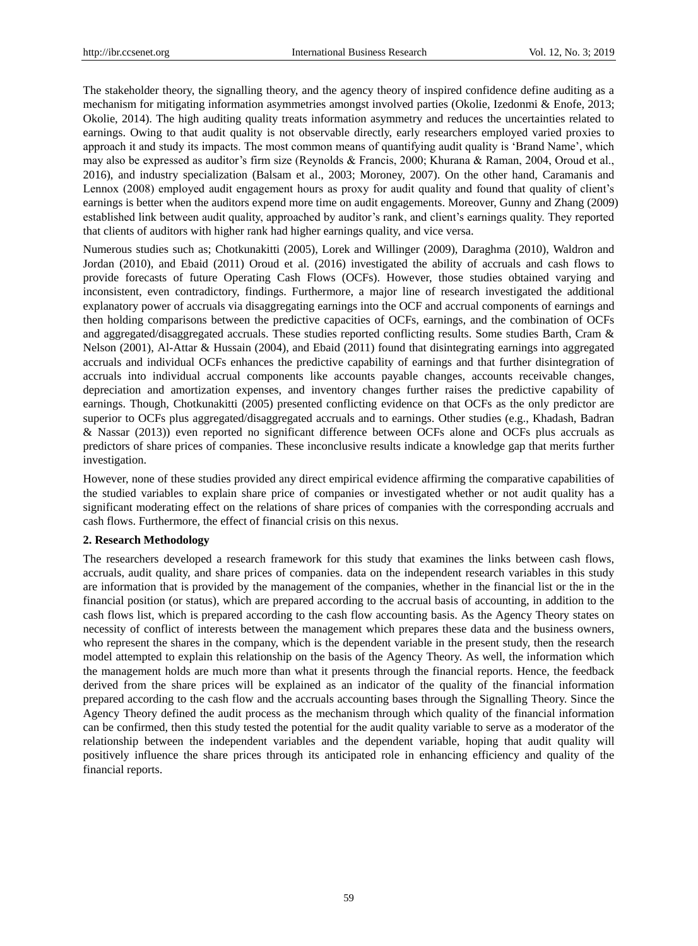The stakeholder theory, the signalling theory, and the agency theory of inspired confidence define auditing as a mechanism for mitigating information asymmetries amongst involved parties (Okolie, Izedonmi & Enofe, 2013; Okolie, 2014). The high auditing quality treats information asymmetry and reduces the uncertainties related to earnings. Owing to that audit quality is not observable directly, early researchers employed varied proxies to approach it and study its impacts. The most common means of quantifying audit quality is 'Brand Name', which may also be expressed as auditor's firm size (Reynolds & Francis, 2000; Khurana & Raman, 2004, Oroud et al., 2016), and industry specialization (Balsam et al., 2003; Moroney, 2007). On the other hand, Caramanis and Lennox (2008) employed audit engagement hours as proxy for audit quality and found that quality of client's earnings is better when the auditors expend more time on audit engagements. Moreover, Gunny and Zhang (2009) established link between audit quality, approached by auditor's rank, and client's earnings quality. They reported that clients of auditors with higher rank had higher earnings quality, and vice versa.

Numerous studies such as; Chotkunakitti (2005), Lorek and Willinger (2009), Daraghma (2010), Waldron and Jordan (2010), and Ebaid (2011) Oroud et al. (2016) investigated the ability of accruals and cash flows to provide forecasts of future Operating Cash Flows (OCFs). However, those studies obtained varying and inconsistent, even contradictory, findings. Furthermore, a major line of research investigated the additional explanatory power of accruals via disaggregating earnings into the OCF and accrual components of earnings and then holding comparisons between the predictive capacities of OCFs, earnings, and the combination of OCFs and aggregated/disaggregated accruals. These studies reported conflicting results. Some studies Barth, Cram & Nelson (2001), Al-Attar & Hussain (2004), and Ebaid (2011) found that disintegrating earnings into aggregated accruals and individual OCFs enhances the predictive capability of earnings and that further disintegration of accruals into individual accrual components like accounts payable changes, accounts receivable changes, depreciation and amortization expenses, and inventory changes further raises the predictive capability of earnings. Though, Chotkunakitti (2005) presented conflicting evidence on that OCFs as the only predictor are superior to OCFs plus aggregated/disaggregated accruals and to earnings. Other studies (e.g., Khadash, Badran & Nassar (2013)) even reported no significant difference between OCFs alone and OCFs plus accruals as predictors of share prices of companies. These inconclusive results indicate a knowledge gap that merits further investigation.

However, none of these studies provided any direct empirical evidence affirming the comparative capabilities of the studied variables to explain share price of companies or investigated whether or not audit quality has a significant moderating effect on the relations of share prices of companies with the corresponding accruals and cash flows. Furthermore, the effect of financial crisis on this nexus.

### **2. Research Methodology**

The researchers developed a research framework for this study that examines the links between cash flows, accruals, audit quality, and share prices of companies. data on the independent research variables in this study are information that is provided by the management of the companies, whether in the financial list or the in the financial position (or status), which are prepared according to the accrual basis of accounting, in addition to the cash flows list, which is prepared according to the cash flow accounting basis. As the Agency Theory states on necessity of conflict of interests between the management which prepares these data and the business owners, who represent the shares in the company, which is the dependent variable in the present study, then the research model attempted to explain this relationship on the basis of the Agency Theory. As well, the information which the management holds are much more than what it presents through the financial reports. Hence, the feedback derived from the share prices will be explained as an indicator of the quality of the financial information prepared according to the cash flow and the accruals accounting bases through the Signalling Theory. Since the Agency Theory defined the audit process as the mechanism through which quality of the financial information can be confirmed, then this study tested the potential for the audit quality variable to serve as a moderator of the relationship between the independent variables and the dependent variable, hoping that audit quality will positively influence the share prices through its anticipated role in enhancing efficiency and quality of the financial reports.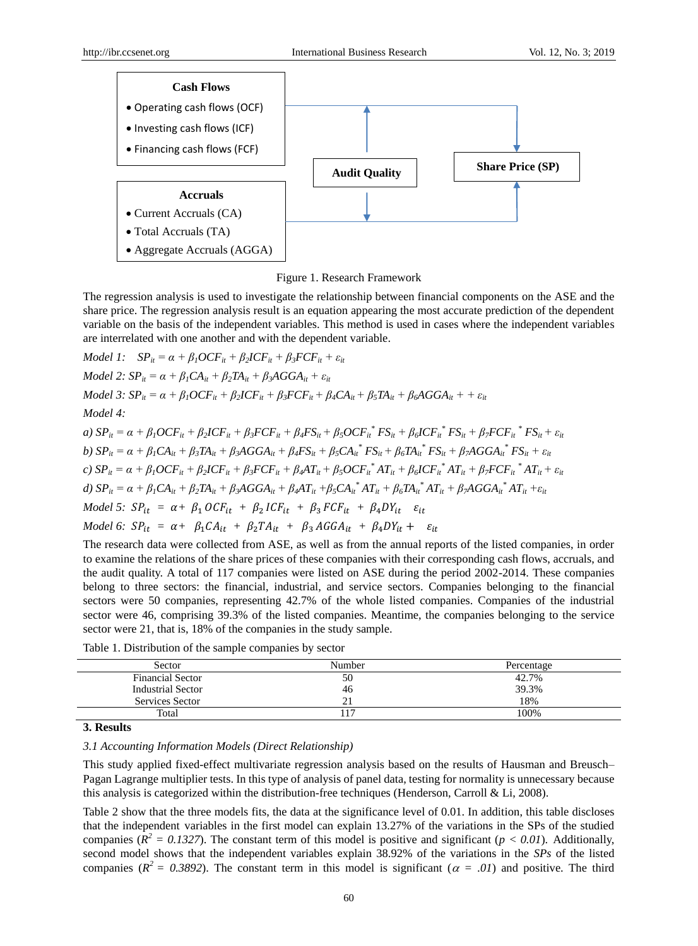

Figure 1. Research Framework

The regression analysis is used to investigate the relationship between financial components on the ASE and the share price. The regression analysis result is an equation appearing the most accurate prediction of the dependent variable on the basis of the independent variables. This method is used in cases where the independent variables are interrelated with one another and with the dependent variable.

Model 1: 
$$
SP_{ii} = \alpha + \beta_{1}OCF_{ii} + \beta_{2}ICF_{ii} + \beta_{3}FCF_{ii} + \varepsilon_{it}
$$
  
\nModel 2:  $SP_{it} = \alpha + \beta_{1}CA_{it} + \beta_{2}TA_{it} + \beta_{3}AGGA_{it} + \varepsilon_{it}$   
\nModel 3:  $SP_{it} = \alpha + \beta_{1}OCF_{it} + \beta_{2}ICF_{it} + \beta_{3}FCF_{it} + \beta_{4}CA_{it} + \beta_{5}TA_{it} + \beta_{6}AGGA_{it} + + \varepsilon_{it}$   
\nModel 4:  
\na)  $SP_{it} = \alpha + \beta_{1}OCF_{it} + \beta_{2}ICF_{it} + \beta_{3}FCF_{it} + \beta_{4}FS_{it} + \beta_{5}OCF_{it}^{*}FS_{it} + \beta_{6}ICF_{it}^{*}FS_{it} + \beta_{7}FCF_{it}^{*}FS_{it} + \varepsilon_{it}$   
\nb)  $SP_{it} = \alpha + \beta_{1}CA_{it} + \beta_{3}TA_{it} + \beta_{3}AGGA_{it} + \beta_{4}FS_{it} + \beta_{5}CA_{it}^{*}FS_{it} + \beta_{6}ICF_{it}^{*}FS_{it} + \beta_{7}FCF_{it}^{*}FS_{it} + \varepsilon_{it}$   
\nc)  $SP_{it} = \alpha + \beta_{1}CA_{it} + \beta_{2}ICF_{it} + \beta_{3}FCF_{it} + \beta_{4}AT_{it} + \beta_{5}OCF_{it}^{*}AT_{it} + \beta_{6}ICF_{it}^{*}AT_{it} + \beta_{7}FCF_{it}^{*}AT_{it} + \varepsilon_{it}$   
\nd)  $SP_{it} = \alpha + \beta_{1}CA_{it} + \beta_{2}ICF_{it} + \beta_{3}KGGA_{it} + \beta_{4}AT_{it} + \beta_{5}CA_{it}^{*}AT_{it} + \beta_{6}ICF_{it}^{*}AT_{it} + \beta_{7}FGF_{it}^{*}AT_{it} + \varepsilon_{it}$   
\nModel 5:  $SP_{it} = \alpha + \beta_{1} OCF_{it} + \beta_{2} ICF_{it} + \beta_{3} FCF_{it} + \beta_{4} DY_{it}^{*} \varepsilon_{it}$ <

The research data were collected from ASE, as well as from the annual reports of the listed companies, in order to examine the relations of the share prices of these companies with their corresponding cash flows, accruals, and the audit quality. A total of 117 companies were listed on ASE during the period 2002-2014. These companies belong to three sectors: the financial, industrial, and service sectors. Companies belonging to the financial sectors were 50 companies, representing 42.7% of the whole listed companies. Companies of the industrial sector were 46, comprising 39.3% of the listed companies. Meantime, the companies belonging to the service sector were 21, that is, 18% of the companies in the study sample.

| Sector                  | Number | Percentage |
|-------------------------|--------|------------|
| <b>Financial Sector</b> | 50     | 42.7%      |
| Industrial Sector       | 46     | 39.3%      |
| Services Sector         | ∠      | 18%        |
| Total                   |        | 100%       |

Table 1. Distribution of the sample companies by sector

**3. Results**

*3.1 Accounting Information Models (Direct Relationship)* 

This study applied fixed-effect multivariate regression analysis based on the results of Hausman and Breusch– Pagan Lagrange multiplier tests. In this type of analysis of panel data, testing for normality is unnecessary because this analysis is categorized within the distribution-free techniques (Henderson, Carroll & Li, 2008).

Table 2 show that the three models fits, the data at the significance level of 0.01. In addition, this table discloses that the independent variables in the first model can explain 13.27% of the variations in the SPs of the studied companies ( $R^2 = 0.1327$ ). The constant term of this model is positive and significant ( $p < 0.01$ ). Additionally, second model shows that the independent variables explain 38.92% of the variations in the *SPs* of the listed companies ( $R^2 = 0.3892$ ). The constant term in this model is significant ( $\alpha = .01$ ) and positive. The third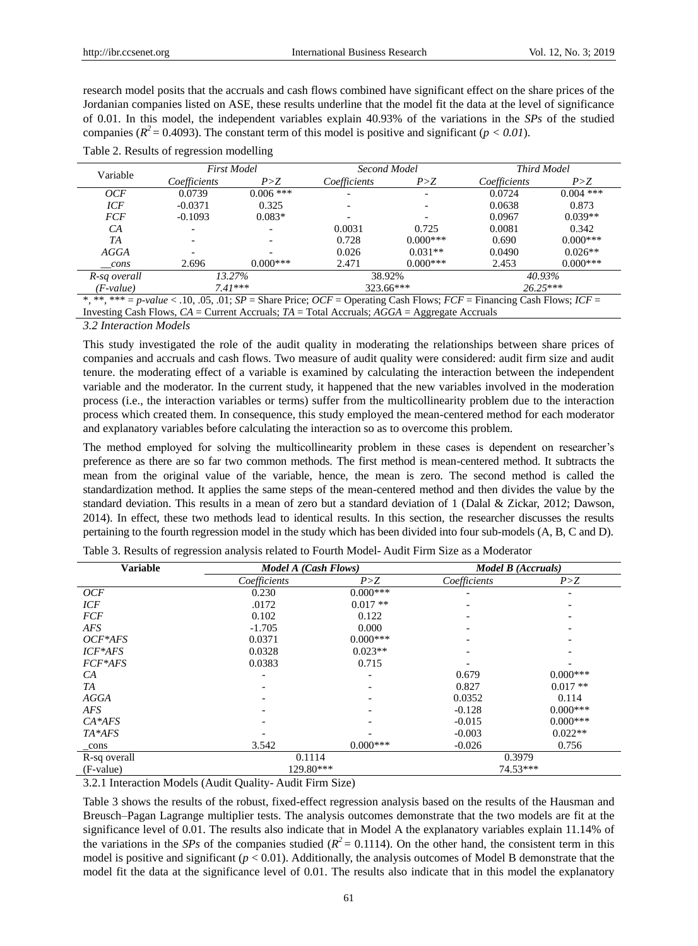research model posits that the accruals and cash flows combined have significant effect on the share prices of the Jordanian companies listed on ASE, these results underline that the model fit the data at the level of significance of 0.01. In this model, the independent variables explain 40.93% of the variations in the *SPs* of the studied companies ( $R^2$  = 0.4093). The constant term of this model is positive and significant ( $p < 0.01$ ).

| Variable                                                                                                                      | <b>First Model</b>                   |             |              | Second Model |              | Third Model |  |
|-------------------------------------------------------------------------------------------------------------------------------|--------------------------------------|-------------|--------------|--------------|--------------|-------------|--|
|                                                                                                                               | Coefficients                         | P > Z       | Coefficients | P>Z          | Coefficients | P > Z       |  |
| OCF                                                                                                                           | 0.0739                               | $0.006$ *** |              |              | 0.0724       | $0.004$ *** |  |
| ICF                                                                                                                           | $-0.0371$                            | 0.325       |              |              | 0.0638       | 0.873       |  |
| <b>FCF</b>                                                                                                                    | $-0.1093$                            | $0.083*$    |              |              | 0.0967       | $0.039**$   |  |
| CA                                                                                                                            |                                      |             | 0.0031       | 0.725        | 0.0081       | 0.342       |  |
| TA                                                                                                                            |                                      |             | 0.728        | $0.000***$   | 0.690        | $0.000***$  |  |
| <b>AGGA</b>                                                                                                                   |                                      |             | 0.026        | $0.031**$    | 0.0490       | $0.026**$   |  |
| cons                                                                                                                          | 2.696                                | $0.000***$  | 2.471        | $0.000***$   | 2.453        | $0.000***$  |  |
| R-sq overall                                                                                                                  | 13.27%<br>38.92%<br>40.93%           |             |              |              |              |             |  |
| $(F-value)$                                                                                                                   | $26.25***$<br>$7.41***$<br>323.66*** |             |              |              |              |             |  |
| *, **, *** = p-value < .10, .05, .01; $SP =$ Share Price; $OCF =$ Operating Cash Flows; $FCF =$ Financing Cash Flows; $ICF =$ |                                      |             |              |              |              |             |  |
| Investing Cash Flows, $CA =$ Current Accruals; $TA =$ Total Accruals; $AGGA =$ Aggregate Accruals                             |                                      |             |              |              |              |             |  |

*3.2 Interaction Models* 

This study investigated the role of the audit quality in moderating the relationships between share prices of companies and accruals and cash flows. Two measure of audit quality were considered: audit firm size and audit tenure. the moderating effect of a variable is examined by calculating the interaction between the independent variable and the moderator. In the current study, it happened that the new variables involved in the moderation process (i.e., the interaction variables or terms) suffer from the multicollinearity problem due to the interaction process which created them. In consequence, this study employed the mean-centered method for each moderator and explanatory variables before calculating the interaction so as to overcome this problem.

The method employed for solving the multicollinearity problem in these cases is dependent on researcher's preference as there are so far two common methods. The first method is mean-centered method. It subtracts the mean from the original value of the variable, hence, the mean is zero. The second method is called the standardization method. It applies the same steps of the mean-centered method and then divides the value by the standard deviation. This results in a mean of zero but a standard deviation of 1 (Dalal & Zickar, 2012; Dawson, 2014). In effect, these two methods lead to identical results. In this section, the researcher discusses the results pertaining to the fourth regression model in the study which has been divided into four sub-models (A, B, C and D).

| <b>Variable</b> | Model A (Cash Flows) |             | Model B (Accruals) |             |
|-----------------|----------------------|-------------|--------------------|-------------|
|                 | Coefficients         | P > Z       | Coefficients       | P > Z       |
| OCF             | 0.230                | $0.000***$  |                    |             |
| ICF             | .0172                | $0.017**$   |                    |             |
| <b>FCF</b>      | 0.102                | 0.122       |                    |             |
| AFS             | $-1.705$             | 0.000       |                    |             |
| $OCF*AFS$       | 0.0371               | $0.000$ *** |                    |             |
| $ICF*AFS$       | 0.0328               | $0.023**$   |                    |             |
| FCF*AFS         | 0.0383               | 0.715       |                    |             |
| CA              |                      |             | 0.679              | $0.000$ *** |
| TA              |                      |             | 0.827              | $0.017**$   |
| <b>AGGA</b>     |                      |             | 0.0352             | 0.114       |
| <b>AFS</b>      |                      |             | $-0.128$           | $0.000***$  |
| $CA*AFS$        |                      |             | $-0.015$           | $0.000$ *** |
| TA*AFS          |                      |             | $-0.003$           | $0.022**$   |
| _cons           | 3.542                | $0.000***$  | $-0.026$           | 0.756       |
| R-sq overall    | 0.1114               |             | 0.3979             |             |
| (F-value)       | 129.80***            |             | 74.53***           |             |

Table 3. Results of regression analysis related to Fourth Model- Audit Firm Size as a Moderator

3.2.1 Interaction Models (Audit Quality- Audit Firm Size)

Table 3 shows the results of the robust, fixed-effect regression analysis based on the results of the Hausman and Breusch–Pagan Lagrange multiplier tests. The analysis outcomes demonstrate that the two models are fit at the significance level of 0.01. The results also indicate that in Model A the explanatory variables explain 11.14% of the variations in the *SPs* of the companies studied ( $R^2 = 0.1114$ ). On the other hand, the consistent term in this model is positive and significant  $(p < 0.01)$ . Additionally, the analysis outcomes of Model B demonstrate that the model fit the data at the significance level of 0.01. The results also indicate that in this model the explanatory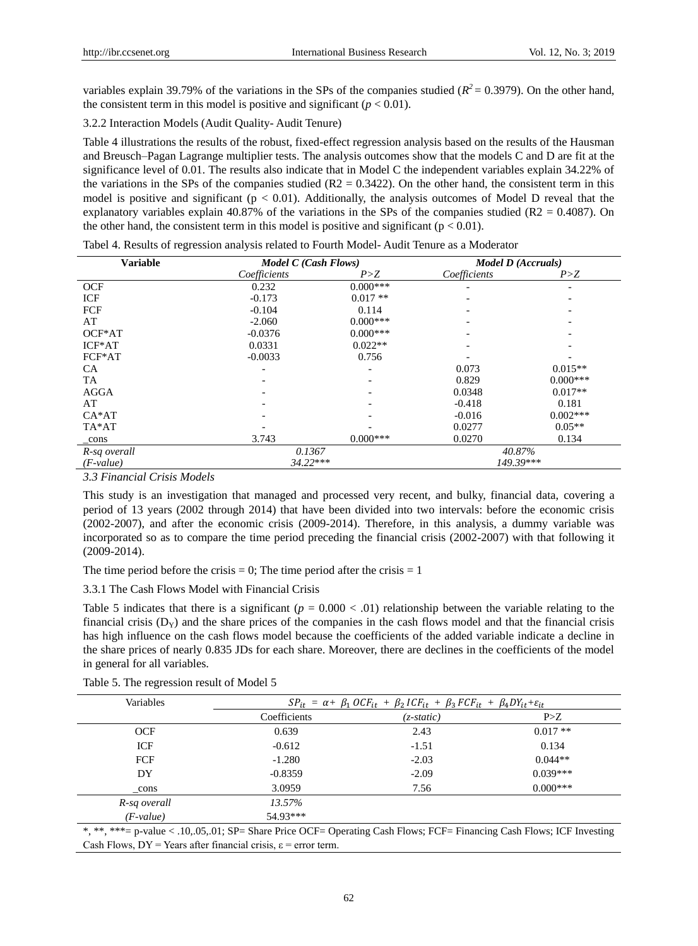variables explain 39.79% of the variations in the SPs of the companies studied  $(R^2 = 0.3979)$ . On the other hand, the consistent term in this model is positive and significant  $(p < 0.01)$ .

3.2.2 Interaction Models (Audit Quality- Audit Tenure)

Table 4 illustrations the results of the robust, fixed-effect regression analysis based on the results of the Hausman and Breusch–Pagan Lagrange multiplier tests. The analysis outcomes show that the models C and D are fit at the significance level of 0.01. The results also indicate that in Model C the independent variables explain 34.22% of the variations in the SPs of the companies studied ( $R2 = 0.3422$ ). On the other hand, the consistent term in this model is positive and significant ( $p < 0.01$ ). Additionally, the analysis outcomes of Model D reveal that the explanatory variables explain 40.87% of the variations in the SPs of the companies studied ( $R2 = 0.4087$ ). On the other hand, the consistent term in this model is positive and significant ( $p < 0.01$ ).

| <b>Variable</b> | Model C (Cash Flows) |            | Model D (Accruals) |            |
|-----------------|----------------------|------------|--------------------|------------|
|                 | Coefficients         | P > Z      | Coefficients       | P>Z        |
| <b>OCF</b>      | 0.232                | $0.000***$ |                    |            |
| ICF             | $-0.173$             | $0.017**$  |                    |            |
| FCF             | $-0.104$             | 0.114      |                    |            |
| AT              | $-2.060$             | $0.000***$ |                    |            |
| OCF*AT          | $-0.0376$            | $0.000***$ |                    |            |
| $ICF*AT$        | 0.0331               | $0.022**$  |                    |            |
| FCF*AT          | $-0.0033$            | 0.756      |                    |            |
| <b>CA</b>       |                      |            | 0.073              | $0.015**$  |
| <b>TA</b>       |                      |            | 0.829              | $0.000***$ |
| <b>AGGA</b>     |                      |            | 0.0348             | $0.017**$  |
| AT              |                      |            | $-0.418$           | 0.181      |
| $CA*AT$         |                      |            | $-0.016$           | $0.002***$ |
| TA*AT           |                      |            | 0.0277             | $0.05**$   |
| _cons           | 3.743                | $0.000***$ | 0.0270             | 0.134      |
| R-sq overall    | 0.1367               |            | 40.87%             |            |
| $(F-value)$     | $34.22***$           |            | 149.39***          |            |

Tabel 4. Results of regression analysis related to Fourth Model- Audit Tenure as a Moderator

*3.3 Financial Crisis Models*

This study is an investigation that managed and processed very recent, and bulky, financial data, covering a period of 13 years (2002 through 2014) that have been divided into two intervals: before the economic crisis (2002-2007), and after the economic crisis (2009-2014). Therefore, in this analysis, a dummy variable was incorporated so as to compare the time period preceding the financial crisis (2002-2007) with that following it (2009-2014).

The time period before the crisis  $= 0$ ; The time period after the crisis  $= 1$ 

3.3.1 The Cash Flows Model with Financial Crisis

Table 5 indicates that there is a significant  $(p = 0.000 < 0.01)$  relationship between the variable relating to the financial crisis ( $D_y$ ) and the share prices of the companies in the cash flows model and that the financial crisis has high influence on the cash flows model because the coefficients of the added variable indicate a decline in the share prices of nearly 0.835 JDs for each share. Moreover, there are declines in the coefficients of the model in general for all variables.

|  | Table 5. The regression result of Model 5 |  |  |
|--|-------------------------------------------|--|--|
|  |                                           |  |  |

| Variables    | $SP_{it} = \alpha + \beta_1 OCF_{it} + \beta_2 ICF_{it} + \beta_3 FCF_{it} + \beta_4 DY_{it} + \varepsilon_{it}$ |              |            |  |
|--------------|------------------------------------------------------------------------------------------------------------------|--------------|------------|--|
|              | Coefficients                                                                                                     | $(z-static)$ | P>Z        |  |
| <b>OCF</b>   | 0.639                                                                                                            | 2.43         | $0.017**$  |  |
| ICF          | $-0.612$                                                                                                         | $-1.51$      | 0.134      |  |
| <b>FCF</b>   | $-1.280$                                                                                                         | $-2.03$      | $0.044**$  |  |
| DY           | $-0.8359$                                                                                                        | $-2.09$      | $0.039***$ |  |
| cons         | 3.0959                                                                                                           | 7.56         | $0.000***$ |  |
| R-sq overall | 13.57%                                                                                                           |              |            |  |
| $(F-value)$  | 54.93***                                                                                                         |              |            |  |

\*, \*\*, \*\*\*= p-value < .10,.05,.01; SP= Share Price OCF= Operating Cash Flows; FCF= Financing Cash Flows; ICF Investing Cash Flows,  $DY = Years$  after financial crisis,  $\varepsilon = error$  term.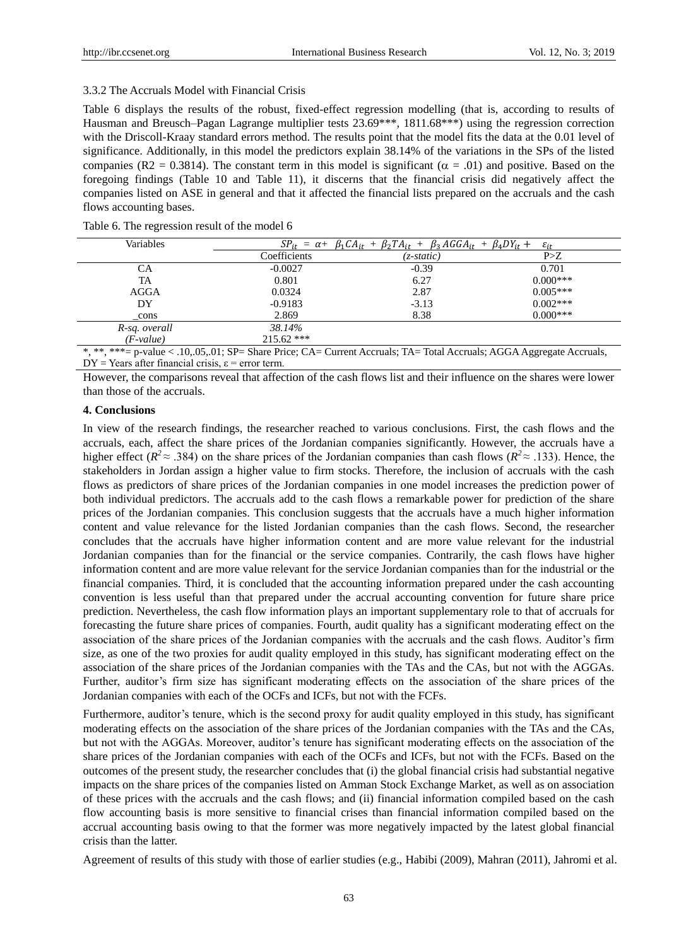#### 3.3.2 The Accruals Model with Financial Crisis

Table 6 displays the results of the robust, fixed-effect regression modelling (that is, according to results of Hausman and Breusch–Pagan Lagrange multiplier tests 23.69\*\*\*, 1811.68\*\*\*) using the regression correction with the Driscoll-Kraay standard errors method. The results point that the model fits the data at the 0.01 level of significance. Additionally, in this model the predictors explain 38.14% of the variations in the SPs of the listed companies (R2 = 0.3814). The constant term in this model is significant ( $\alpha$  = .01) and positive. Based on the foregoing findings (Table 10 and Table 11), it discerns that the financial crisis did negatively affect the companies listed on ASE in general and that it affected the financial lists prepared on the accruals and the cash flows accounting bases.

|  |  |  | Table 6. The regression result of the model 6 |
|--|--|--|-----------------------------------------------|
|--|--|--|-----------------------------------------------|

| Variables                                                                                                                                          | $\beta_1 CA_{it} + \beta_2 TA_{it} + \beta_3 AGGA_{it} + \beta_4 DY_{it} +$<br>$SP_{it} = \alpha +$<br>$\varepsilon_{it}$ |              |            |  |  |
|----------------------------------------------------------------------------------------------------------------------------------------------------|---------------------------------------------------------------------------------------------------------------------------|--------------|------------|--|--|
|                                                                                                                                                    | Coefficients                                                                                                              | $(z-static)$ | P>Z        |  |  |
| CА                                                                                                                                                 | $-0.0027$                                                                                                                 | $-0.39$      | 0.701      |  |  |
| TA                                                                                                                                                 | 0.801                                                                                                                     | 6.27         | $0.000***$ |  |  |
| AGGA                                                                                                                                               | 0.0324                                                                                                                    | 2.87         | $0.005***$ |  |  |
| DY                                                                                                                                                 | $-0.9183$                                                                                                                 | $-3.13$      | $0.002***$ |  |  |
| cons                                                                                                                                               | 2.869                                                                                                                     | 8.38         | $0.000***$ |  |  |
| R-sq. overall                                                                                                                                      | 38.14%                                                                                                                    |              |            |  |  |
| $(F-value)$                                                                                                                                        | $215.62$ ***                                                                                                              |              |            |  |  |
| about about a chairman<br>$10.0733$ $\overline{01}$ $\overline{01}$<br>$\sim$ $\sim$<br>$\sim$ $\sim$<br>$\cdots$<br>$\sim$ $\sim$<br>$\mathbf{r}$ |                                                                                                                           |              |            |  |  |

\*, \*\*, \*\*\*= p-value < .10,.05,.01; SP= Share Price; CA= Current Accruals; TA= Total Accruals; AGGA Aggregate Accruals,  $DY = Years$  after financial crisis,  $\varepsilon$  = error term.

However, the comparisons reveal that affection of the cash flows list and their influence on the shares were lower than those of the accruals.

#### **4. Conclusions**

In view of the research findings, the researcher reached to various conclusions. First, the cash flows and the accruals, each, affect the share prices of the Jordanian companies significantly. However, the accruals have a higher effect ( $R^2 \approx .384$ ) on the share prices of the Jordanian companies than cash flows ( $R^2 \approx .133$ ). Hence, the stakeholders in Jordan assign a higher value to firm stocks. Therefore, the inclusion of accruals with the cash flows as predictors of share prices of the Jordanian companies in one model increases the prediction power of both individual predictors. The accruals add to the cash flows a remarkable power for prediction of the share prices of the Jordanian companies. This conclusion suggests that the accruals have a much higher information content and value relevance for the listed Jordanian companies than the cash flows. Second, the researcher concludes that the accruals have higher information content and are more value relevant for the industrial Jordanian companies than for the financial or the service companies. Contrarily, the cash flows have higher information content and are more value relevant for the service Jordanian companies than for the industrial or the financial companies. Third, it is concluded that the accounting information prepared under the cash accounting convention is less useful than that prepared under the accrual accounting convention for future share price prediction. Nevertheless, the cash flow information plays an important supplementary role to that of accruals for forecasting the future share prices of companies. Fourth, audit quality has a significant moderating effect on the association of the share prices of the Jordanian companies with the accruals and the cash flows. Auditor's firm size, as one of the two proxies for audit quality employed in this study, has significant moderating effect on the association of the share prices of the Jordanian companies with the TAs and the CAs, but not with the AGGAs. Further, auditor's firm size has significant moderating effects on the association of the share prices of the Jordanian companies with each of the OCFs and ICFs, but not with the FCFs.

Furthermore, auditor's tenure, which is the second proxy for audit quality employed in this study, has significant moderating effects on the association of the share prices of the Jordanian companies with the TAs and the CAs, but not with the AGGAs. Moreover, auditor's tenure has significant moderating effects on the association of the share prices of the Jordanian companies with each of the OCFs and ICFs, but not with the FCFs. Based on the outcomes of the present study, the researcher concludes that (i) the global financial crisis had substantial negative impacts on the share prices of the companies listed on Amman Stock Exchange Market, as well as on association of these prices with the accruals and the cash flows; and (ii) financial information compiled based on the cash flow accounting basis is more sensitive to financial crises than financial information compiled based on the accrual accounting basis owing to that the former was more negatively impacted by the latest global financial crisis than the latter.

Agreement of results of this study with those of earlier studies (e.g., Habibi (2009), Mahran (2011), Jahromi et al.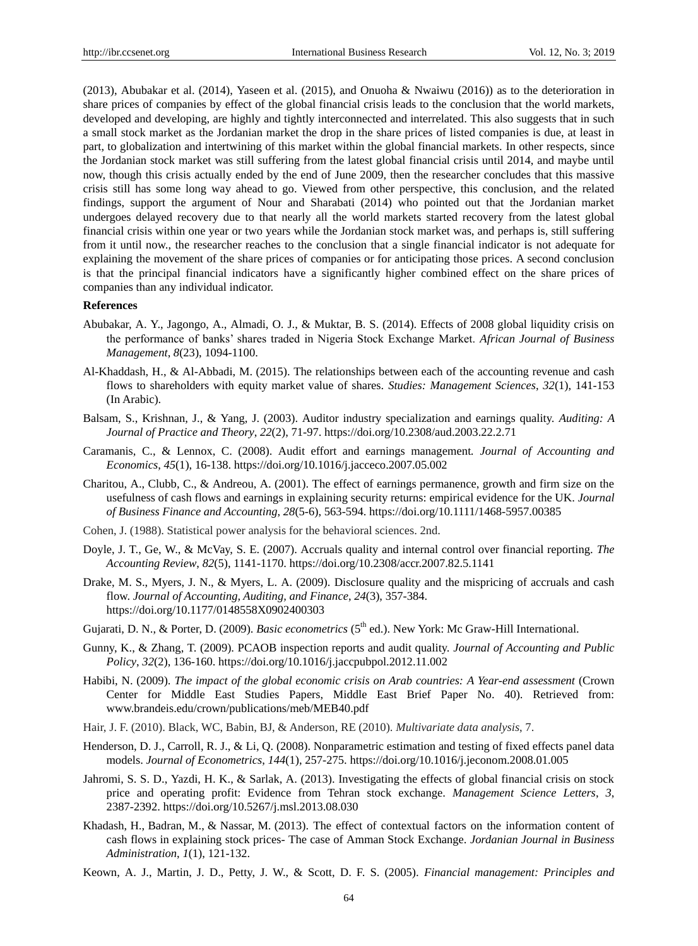(2013), Abubakar et al. (2014), Yaseen et al. (2015), and Onuoha & Nwaiwu (2016)) as to the deterioration in share prices of companies by effect of the global financial crisis leads to the conclusion that the world markets, developed and developing, are highly and tightly interconnected and interrelated. This also suggests that in such a small stock market as the Jordanian market the drop in the share prices of listed companies is due, at least in part, to globalization and intertwining of this market within the global financial markets. In other respects, since the Jordanian stock market was still suffering from the latest global financial crisis until 2014, and maybe until now, though this crisis actually ended by the end of June 2009, then the researcher concludes that this massive crisis still has some long way ahead to go. Viewed from other perspective, this conclusion, and the related findings, support the argument of Nour and Sharabati (2014) who pointed out that the Jordanian market undergoes delayed recovery due to that nearly all the world markets started recovery from the latest global financial crisis within one year or two years while the Jordanian stock market was, and perhaps is, still suffering from it until now., the researcher reaches to the conclusion that a single financial indicator is not adequate for explaining the movement of the share prices of companies or for anticipating those prices. A second conclusion is that the principal financial indicators have a significantly higher combined effect on the share prices of companies than any individual indicator.

#### **References**

- Abubakar, A. Y., Jagongo, A., Almadi, O. J., & Muktar, B. S. (2014). Effects of 2008 global liquidity crisis on the performance of banks' shares traded in Nigeria Stock Exchange Market. *African Journal of Business Management*, *8*(23), 1094-1100.
- Al-Khaddash, H., & Al-Abbadi, M. (2015). The relationships between each of the accounting revenue and cash flows to shareholders with equity market value of shares. *Studies: Management Sciences*, *32*(1), 141-153 (In Arabic).
- Balsam, S., Krishnan, J., & Yang, J. (2003). Auditor industry specialization and earnings quality. *Auditing: A Journal of Practice and Theory*, *22*(2), 71-97. https://doi.org/10.2308/aud.2003.22.2.71
- Caramanis, C., & Lennox, C. (2008). Audit effort and earnings management*. Journal of Accounting and Economics*, *45*(1), 16-138. https://doi.org/10.1016/j.jacceco.2007.05.002
- Charitou, A., Clubb, C., & Andreou, A. (2001). The effect of earnings permanence, growth and firm size on the usefulness of cash flows and earnings in explaining security returns: empirical evidence for the UK. *Journal of Business Finance and Accounting*, *28*(5-6), 563-594. https://doi.org/10.1111/1468-5957.00385
- Cohen, J. (1988). Statistical power analysis for the behavioral sciences. 2nd.
- Doyle, J. T., Ge, W., & McVay, S. E. (2007). Accruals quality and internal control over financial reporting. *The Accounting Review*, *82*(5), 1141-1170. https://doi.org/10.2308/accr.2007.82.5.1141
- Drake, M. S., Myers, J. N., & Myers, L. A. (2009). Disclosure quality and the mispricing of accruals and cash flow. *Journal of Accounting, Auditing, and Finance*, *24*(3), 357-384. https://doi.org/10.1177/0148558X0902400303
- Gujarati, D. N., & Porter, D. (2009). *Basic econometrics* (5<sup>th</sup> ed.). New York: Mc Graw-Hill International.
- Gunny, K., & Zhang, T. (2009). PCAOB inspection reports and audit quality. *Journal of Accounting and Public Policy*, *32*(2), 136-160. https://doi.org/10.1016/j.jaccpubpol.2012.11.002
- Habibi, N. (2009). *The impact of the global economic crisis on Arab countries: A Year-end assessment* (Crown Center for Middle East Studies Papers, Middle East Brief Paper No. 40). Retrieved from: www.brandeis.edu/crown/publications/meb/MEB40.pdf
- Hair, J. F. (2010). Black, WC, Babin, BJ, & Anderson, RE (2010). *Multivariate data analysis*, 7.
- Henderson, D. J., Carroll, R. J., & Li, Q. (2008). Nonparametric estimation and testing of fixed effects panel data models. *Journal of Econometrics*, *144*(1), 257-275. https://doi.org/10.1016/j.jeconom.2008.01.005
- Jahromi, S. S. D., Yazdi, H. K., & Sarlak, A. (2013). Investigating the effects of global financial crisis on stock price and operating profit: Evidence from Tehran stock exchange. *Management Science Letters*, *3*, 2387-2392. https://doi.org/10.5267/j.msl.2013.08.030
- Khadash, H., Badran, M., & Nassar, M. (2013). The effect of contextual factors on the information content of cash flows in explaining stock prices- The case of Amman Stock Exchange. *Jordanian Journal in Business Administration*, *1*(1), 121-132.
- Keown, A. J., Martin, J. D., Petty, J. W., & Scott, D. F. S. (2005). *Financial management: Principles and*